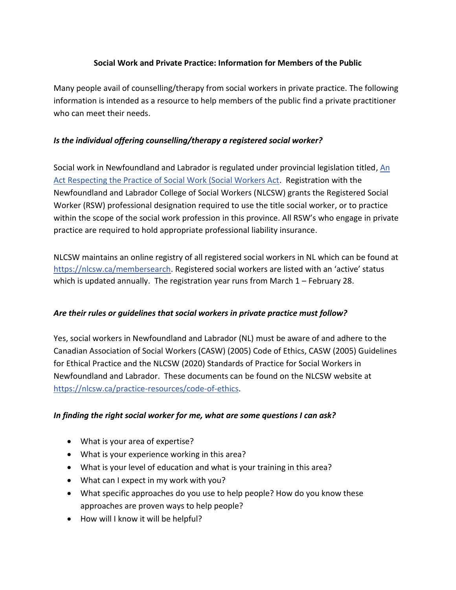## **Social Work and Private Practice: Information for Members of the Public**

Many people avail of counselling/therapy from social workers in private practice. The following information is intended as a resource to help members of the public find a private practitioner who can meet their needs.

## *Is the individual offering counselling/therapy a registered social worker?*

Social work in Newfoundland and Labrador is regulated under provincial legislation titled, An [Act Respecting the Practice of Social Work \(Social Workers Act.](http://www.assembly.nl.ca/Legislation/sr/statutes/s17-2.htm) Registration with the Newfoundland and Labrador College of Social Workers (NLCSW) grants the Registered Social Worker (RSW) professional designation required to use the title social worker, or to practice within the scope of the social work profession in this province. All RSW's who engage in private practice are required to hold appropriate professional liability insurance.

NLCSW maintains an online registry of all registered social workers in NL which can be found at [https://nlcsw.ca/membersearch.](https://nlcsw.ca/membersearch) Registered social workers are listed with an 'active' status which is updated annually. The registration year runs from March 1 – February 28.

#### *Are their rules or guidelines that social workers in private practice must follow?*

Yes, social workers in Newfoundland and Labrador (NL) must be aware of and adhere to the Canadian Association of Social Workers (CASW) (2005) Code of Ethics, CASW (2005) Guidelines for Ethical Practice and the NLCSW (2020) Standards of Practice for Social Workers in Newfoundland and Labrador. These documents can be found on the NLCSW website at [https://nlcsw.ca/practice-resources/code-of-ethics.](https://nlcsw.ca/practice-resources/code-of-ethics)

#### *In finding the right social worker for me, what are some questions I can ask?*

- What is your area of expertise?
- What is your experience working in this area?
- What is your level of education and what is your training in this area?
- What can I expect in my work with you?
- What specific approaches do you use to help people? How do you know these approaches are proven ways to help people?
- How will I know it will be helpful?